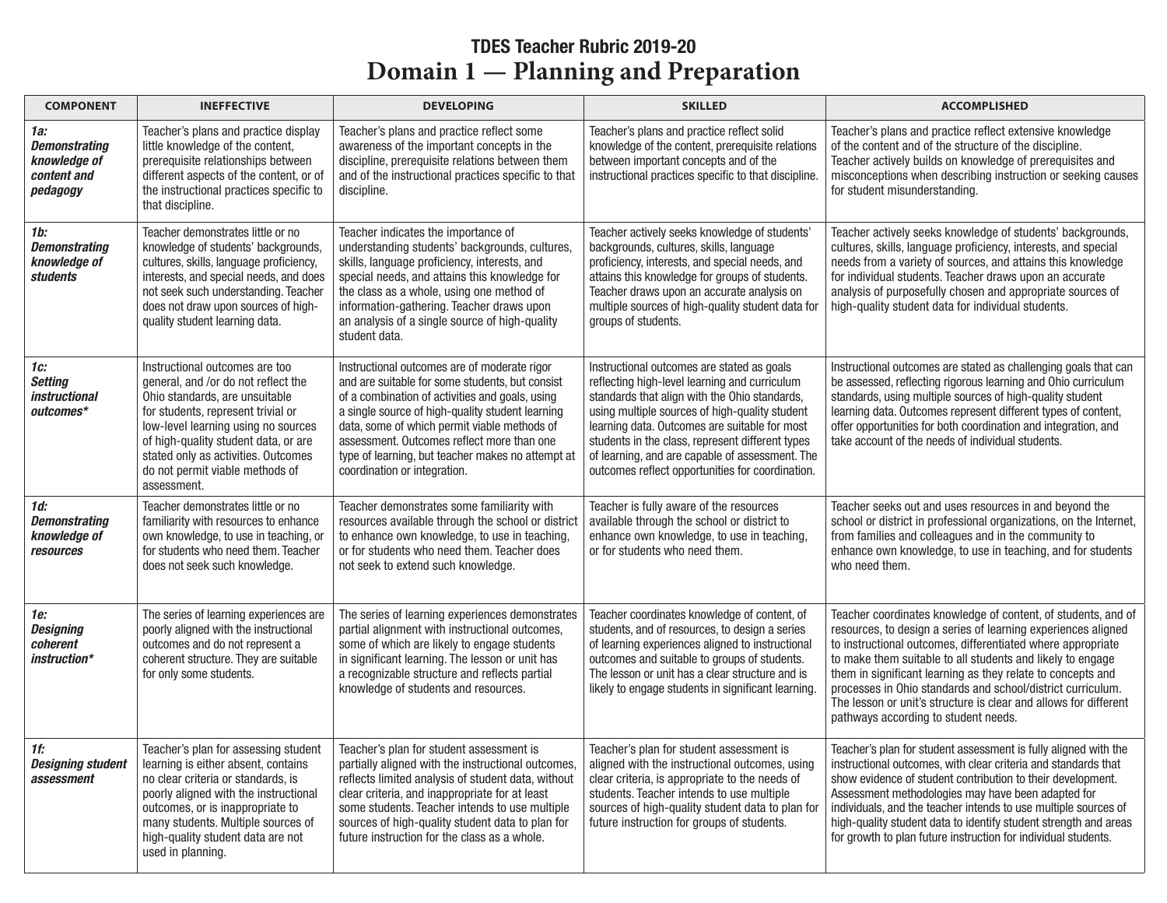## TDES Teacher Rubric 2019-20 **Preparation 2 Planning and Preparation**

| <b>COMPONENT</b>                                                          | <b>INEFFECTIVE</b>                                                                                                                                                                                                                                                                                                    | <b>DEVELOPING</b>                                                                                                                                                                                                                                                                                                                                                                         | <b>SKILLED</b>                                                                                                                                                                                                                                                                                                                                                                                             | <b>ACCOMPLISHED</b>                                                                                                                                                                                                                                                                                                                                                                                                                                                                                   |
|---------------------------------------------------------------------------|-----------------------------------------------------------------------------------------------------------------------------------------------------------------------------------------------------------------------------------------------------------------------------------------------------------------------|-------------------------------------------------------------------------------------------------------------------------------------------------------------------------------------------------------------------------------------------------------------------------------------------------------------------------------------------------------------------------------------------|------------------------------------------------------------------------------------------------------------------------------------------------------------------------------------------------------------------------------------------------------------------------------------------------------------------------------------------------------------------------------------------------------------|-------------------------------------------------------------------------------------------------------------------------------------------------------------------------------------------------------------------------------------------------------------------------------------------------------------------------------------------------------------------------------------------------------------------------------------------------------------------------------------------------------|
| 1a:<br><b>Demonstrating</b><br>knowledge of<br>content and<br>pedagogy    | Teacher's plans and practice display<br>little knowledge of the content,<br>prerequisite relationships between<br>different aspects of the content, or of<br>the instructional practices specific to<br>that discipline.                                                                                              | Teacher's plans and practice reflect some<br>awareness of the important concepts in the<br>discipline, prerequisite relations between them<br>and of the instructional practices specific to that<br>discipline.                                                                                                                                                                          | Teacher's plans and practice reflect solid<br>knowledge of the content, prerequisite relations<br>between important concepts and of the<br>instructional practices specific to that discipline.                                                                                                                                                                                                            | Teacher's plans and practice reflect extensive knowledge<br>of the content and of the structure of the discipline.<br>Teacher actively builds on knowledge of prerequisites and<br>misconceptions when describing instruction or seeking causes<br>for student misunderstanding.                                                                                                                                                                                                                      |
| 1 <sub>b</sub><br><b>Demonstrating</b><br>knowledge of<br><b>students</b> | Teacher demonstrates little or no<br>knowledge of students' backgrounds,<br>cultures, skills, language proficiency,<br>interests, and special needs, and does<br>not seek such understanding. Teacher<br>does not draw upon sources of high-<br>quality student learning data.                                        | Teacher indicates the importance of<br>understanding students' backgrounds, cultures,<br>skills, language proficiency, interests, and<br>special needs, and attains this knowledge for<br>the class as a whole, using one method of<br>information-gathering. Teacher draws upon<br>an analysis of a single source of high-quality<br>student data.                                       | Teacher actively seeks knowledge of students'<br>backgrounds, cultures, skills, language<br>proficiency, interests, and special needs, and<br>attains this knowledge for groups of students.<br>Teacher draws upon an accurate analysis on<br>multiple sources of high-quality student data for<br>groups of students.                                                                                     | Teacher actively seeks knowledge of students' backgrounds,<br>cultures, skills, language proficiency, interests, and special<br>needs from a variety of sources, and attains this knowledge<br>for individual students. Teacher draws upon an accurate<br>analysis of purposefully chosen and appropriate sources of<br>high-quality student data for individual students.                                                                                                                            |
| 1с:<br><b>Setting</b><br>instructional<br>outcomes*                       | Instructional outcomes are too<br>general, and /or do not reflect the<br>Ohio standards, are unsuitable<br>for students, represent trivial or<br>low-level learning using no sources<br>of high-quality student data, or are<br>stated only as activities. Outcomes<br>do not permit viable methods of<br>assessment. | Instructional outcomes are of moderate rigor<br>and are suitable for some students, but consist<br>of a combination of activities and goals, using<br>a single source of high-quality student learning<br>data, some of which permit viable methods of<br>assessment. Outcomes reflect more than one<br>type of learning, but teacher makes no attempt at<br>coordination or integration. | Instructional outcomes are stated as goals<br>reflecting high-level learning and curriculum<br>standards that align with the Ohio standards,<br>using multiple sources of high-quality student<br>learning data. Outcomes are suitable for most<br>students in the class, represent different types<br>of learning, and are capable of assessment. The<br>outcomes reflect opportunities for coordination. | Instructional outcomes are stated as challenging goals that can<br>be assessed, reflecting rigorous learning and Ohio curriculum<br>standards, using multiple sources of high-quality student<br>learning data. Outcomes represent different types of content,<br>offer opportunities for both coordination and integration, and<br>take account of the needs of individual students.                                                                                                                 |
| 1d:<br><b>Demonstrating</b><br>knowledge of<br><b>resources</b>           | Teacher demonstrates little or no<br>familiarity with resources to enhance<br>own knowledge, to use in teaching, or<br>for students who need them. Teacher<br>does not seek such knowledge.                                                                                                                           | Teacher demonstrates some familiarity with<br>resources available through the school or district<br>to enhance own knowledge, to use in teaching,<br>or for students who need them. Teacher does<br>not seek to extend such knowledge.                                                                                                                                                    | Teacher is fully aware of the resources<br>available through the school or district to<br>enhance own knowledge, to use in teaching,<br>or for students who need them.                                                                                                                                                                                                                                     | Teacher seeks out and uses resources in and beyond the<br>school or district in professional organizations, on the Internet,<br>from families and colleagues and in the community to<br>enhance own knowledge, to use in teaching, and for students<br>who need them.                                                                                                                                                                                                                                 |
| 1е:<br><b>Designing</b><br>coherent<br>instruction*                       | The series of learning experiences are<br>poorly aligned with the instructional<br>outcomes and do not represent a<br>coherent structure. They are suitable<br>for only some students.                                                                                                                                | The series of learning experiences demonstrates<br>partial alignment with instructional outcomes,<br>some of which are likely to engage students<br>in significant learning. The lesson or unit has<br>a recognizable structure and reflects partial<br>knowledge of students and resources.                                                                                              | Teacher coordinates knowledge of content, of<br>students, and of resources, to design a series<br>of learning experiences aligned to instructional<br>outcomes and suitable to groups of students.<br>The lesson or unit has a clear structure and is<br>likely to engage students in significant learning.                                                                                                | Teacher coordinates knowledge of content, of students, and of<br>resources, to design a series of learning experiences aligned<br>to instructional outcomes, differentiated where appropriate<br>to make them suitable to all students and likely to engage<br>them in significant learning as they relate to concepts and<br>processes in Ohio standards and school/district curriculum.<br>The lesson or unit's structure is clear and allows for different<br>pathways according to student needs. |
| 1f:<br><b>Designing student</b><br>assessment                             | Teacher's plan for assessing student<br>learning is either absent, contains<br>no clear criteria or standards, is<br>poorly aligned with the instructional<br>outcomes, or is inappropriate to<br>many students. Multiple sources of<br>high-quality student data are not<br>used in planning.                        | Teacher's plan for student assessment is<br>partially aligned with the instructional outcomes,<br>reflects limited analysis of student data, without<br>clear criteria, and inappropriate for at least<br>some students. Teacher intends to use multiple<br>sources of high-quality student data to plan for<br>future instruction for the class as a whole.                              | Teacher's plan for student assessment is<br>aligned with the instructional outcomes, using<br>clear criteria, is appropriate to the needs of<br>students. Teacher intends to use multiple<br>sources of high-quality student data to plan for<br>future instruction for groups of students.                                                                                                                | Teacher's plan for student assessment is fully aligned with the<br>instructional outcomes, with clear criteria and standards that<br>show evidence of student contribution to their development.<br>Assessment methodologies may have been adapted for<br>individuals, and the teacher intends to use multiple sources of<br>high-quality student data to identify student strength and areas<br>for growth to plan future instruction for individual students.                                       |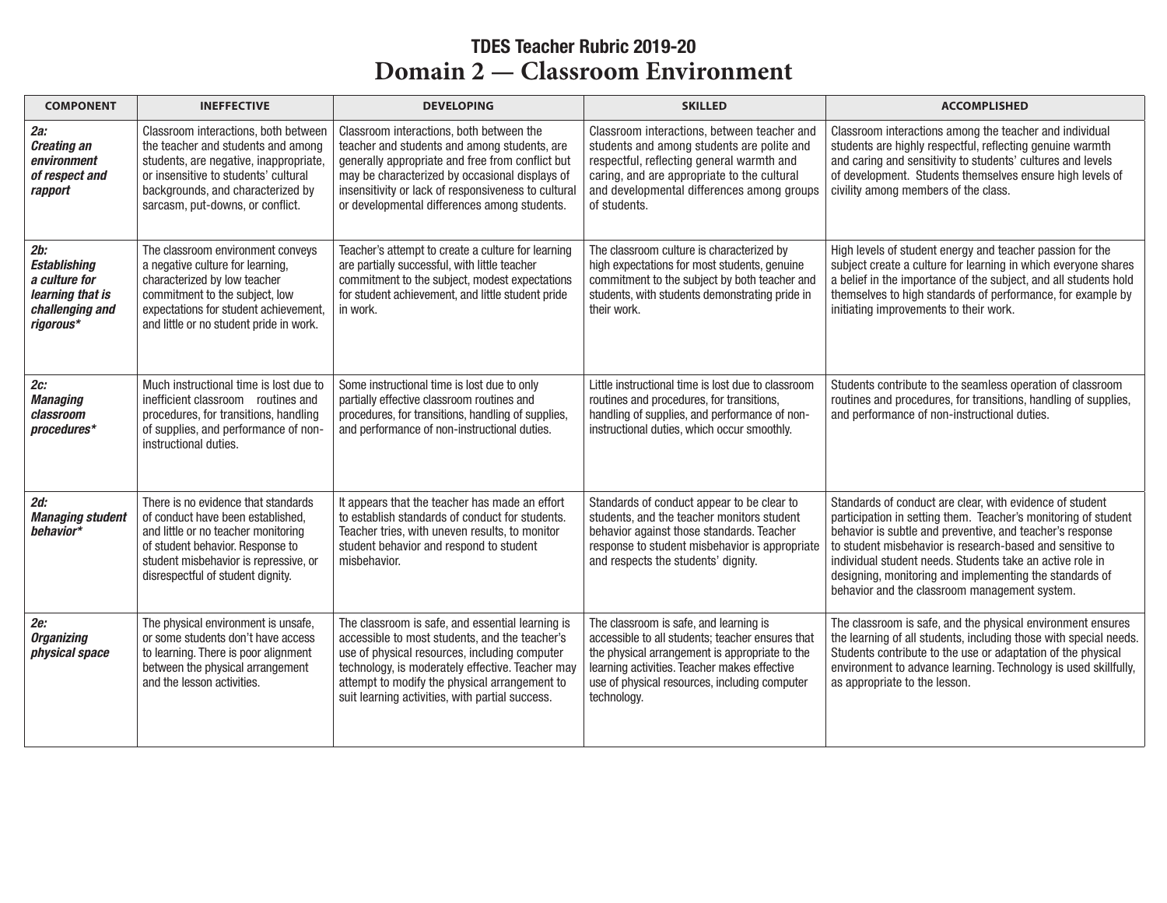## TDES Teacher Rubric 2019-20 **Domain 2 — Classroom Environment**

| <b>COMPONENT</b>                                                                                | <b>INEFFECTIVE</b>                                                                                                                                                                                                                    | <b>DEVELOPING</b>                                                                                                                                                                                                                                                                                           | <b>SKILLED</b>                                                                                                                                                                                                                                               | <b>ACCOMPLISHED</b>                                                                                                                                                                                                                                                                                                                                                                                                           |
|-------------------------------------------------------------------------------------------------|---------------------------------------------------------------------------------------------------------------------------------------------------------------------------------------------------------------------------------------|-------------------------------------------------------------------------------------------------------------------------------------------------------------------------------------------------------------------------------------------------------------------------------------------------------------|--------------------------------------------------------------------------------------------------------------------------------------------------------------------------------------------------------------------------------------------------------------|-------------------------------------------------------------------------------------------------------------------------------------------------------------------------------------------------------------------------------------------------------------------------------------------------------------------------------------------------------------------------------------------------------------------------------|
| $2a$ :<br><b>Creating an</b><br>environment<br>of respect and<br>rapport                        | Classroom interactions, both between<br>the teacher and students and among<br>students, are negative, inappropriate,<br>or insensitive to students' cultural<br>backgrounds, and characterized by<br>sarcasm, put-downs, or conflict. | Classroom interactions, both between the<br>teacher and students and among students, are<br>generally appropriate and free from conflict but<br>may be characterized by occasional displays of<br>insensitivity or lack of responsiveness to cultural<br>or developmental differences among students.       | Classroom interactions, between teacher and<br>students and among students are polite and<br>respectful, reflecting general warmth and<br>caring, and are appropriate to the cultural<br>and developmental differences among groups<br>of students.          | Classroom interactions among the teacher and individual<br>students are highly respectful, reflecting genuine warmth<br>and caring and sensitivity to students' cultures and levels<br>of development. Students themselves ensure high levels of<br>civility among members of the class.                                                                                                                                      |
| 2b:<br><b>Establishing</b><br>a culture for<br>learning that is<br>challenging and<br>riaorous* | The classroom environment conveys<br>a negative culture for learning,<br>characterized by low teacher<br>commitment to the subject, low<br>expectations for student achievement,<br>and little or no student pride in work.           | Teacher's attempt to create a culture for learning<br>are partially successful, with little teacher<br>commitment to the subject, modest expectations<br>for student achievement, and little student pride<br>in work.                                                                                      | The classroom culture is characterized by<br>high expectations for most students, genuine<br>commitment to the subject by both teacher and<br>students, with students demonstrating pride in<br>their work.                                                  | High levels of student energy and teacher passion for the<br>subject create a culture for learning in which everyone shares<br>a belief in the importance of the subject, and all students hold<br>themselves to high standards of performance, for example by<br>initiating improvements to their work.                                                                                                                      |
| $2c$ :<br><b>Managing</b><br>classroom<br>procedures*                                           | Much instructional time is lost due to<br>inefficient classroom routines and<br>procedures, for transitions, handling<br>of supplies, and performance of non-<br>instructional duties.                                                | Some instructional time is lost due to only<br>partially effective classroom routines and<br>procedures, for transitions, handling of supplies,<br>and performance of non-instructional duties.                                                                                                             | Little instructional time is lost due to classroom<br>routines and procedures, for transitions,<br>handling of supplies, and performance of non-<br>instructional duties, which occur smoothly.                                                              | Students contribute to the seamless operation of classroom<br>routines and procedures, for transitions, handling of supplies,<br>and performance of non-instructional duties.                                                                                                                                                                                                                                                 |
| $2d$ :<br><b>Managing student</b><br>behavior*                                                  | There is no evidence that standards<br>of conduct have been established.<br>and little or no teacher monitoring<br>of student behavior. Response to<br>student misbehavior is repressive, or<br>disrespectful of student dignity.     | It appears that the teacher has made an effort<br>to establish standards of conduct for students.<br>Teacher tries, with uneven results, to monitor<br>student behavior and respond to student<br>misbehavior.                                                                                              | Standards of conduct appear to be clear to<br>students, and the teacher monitors student<br>behavior against those standards. Teacher<br>response to student misbehavior is appropriate<br>and respects the students' dignity.                               | Standards of conduct are clear, with evidence of student<br>participation in setting them. Teacher's monitoring of student<br>behavior is subtle and preventive, and teacher's response<br>to student misbehavior is research-based and sensitive to<br>individual student needs. Students take an active role in<br>designing, monitoring and implementing the standards of<br>behavior and the classroom management system. |
| 2e:<br><b>Organizing</b><br>physical space                                                      | The physical environment is unsafe,<br>or some students don't have access<br>to learning. There is poor alignment<br>between the physical arrangement<br>and the lesson activities.                                                   | The classroom is safe, and essential learning is<br>accessible to most students, and the teacher's<br>use of physical resources, including computer<br>technology, is moderately effective. Teacher may<br>attempt to modify the physical arrangement to<br>suit learning activities, with partial success. | The classroom is safe, and learning is<br>accessible to all students; teacher ensures that<br>the physical arrangement is appropriate to the<br>learning activities. Teacher makes effective<br>use of physical resources, including computer<br>technology. | The classroom is safe, and the physical environment ensures<br>the learning of all students, including those with special needs.<br>Students contribute to the use or adaptation of the physical<br>environment to advance learning. Technology is used skillfully,<br>as appropriate to the lesson.                                                                                                                          |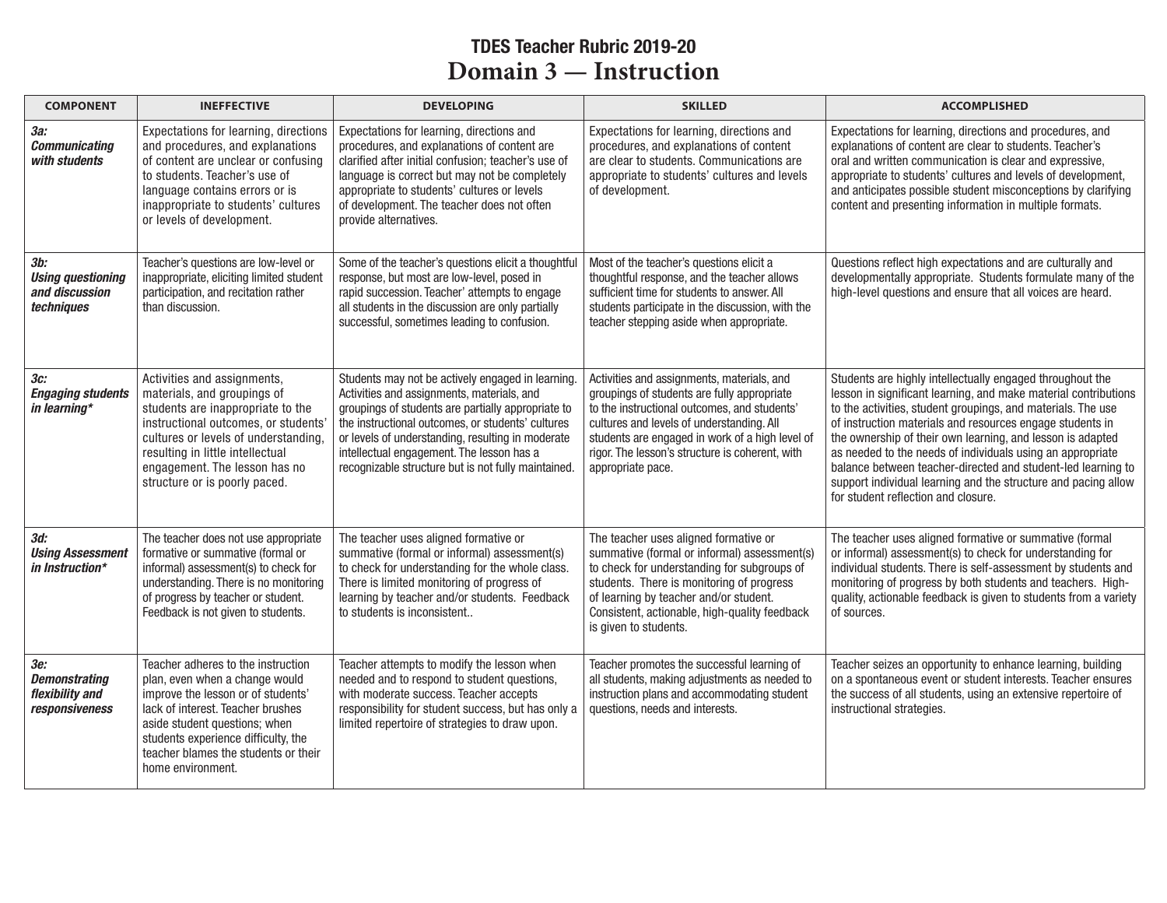## TDES Teacher Rubric 2019-20 **Domain** 3 — Instruction

| <b>COMPONENT</b>                                                 | <b>INEFFECTIVE</b>                                                                                                                                                                                                                                                                    | <b>DEVELOPING</b>                                                                                                                                                                                                                                                                                                                                                   | <b>SKILLED</b>                                                                                                                                                                                                                                                                                                    | <b>ACCOMPLISHED</b>                                                                                                                                                                                                                                                                                                                                                                                                                                                                                                                                            |
|------------------------------------------------------------------|---------------------------------------------------------------------------------------------------------------------------------------------------------------------------------------------------------------------------------------------------------------------------------------|---------------------------------------------------------------------------------------------------------------------------------------------------------------------------------------------------------------------------------------------------------------------------------------------------------------------------------------------------------------------|-------------------------------------------------------------------------------------------------------------------------------------------------------------------------------------------------------------------------------------------------------------------------------------------------------------------|----------------------------------------------------------------------------------------------------------------------------------------------------------------------------------------------------------------------------------------------------------------------------------------------------------------------------------------------------------------------------------------------------------------------------------------------------------------------------------------------------------------------------------------------------------------|
| За:<br><b>Communicating</b><br>with students                     | Expectations for learning, directions<br>and procedures, and explanations<br>of content are unclear or confusing<br>to students. Teacher's use of<br>language contains errors or is<br>inappropriate to students' cultures<br>or levels of development.                               | Expectations for learning, directions and<br>procedures, and explanations of content are<br>clarified after initial confusion; teacher's use of<br>language is correct but may not be completely<br>appropriate to students' cultures or levels<br>of development. The teacher does not often<br>provide alternatives.                                              | Expectations for learning, directions and<br>procedures, and explanations of content<br>are clear to students. Communications are<br>appropriate to students' cultures and levels<br>of development.                                                                                                              | Expectations for learning, directions and procedures, and<br>explanations of content are clear to students. Teacher's<br>oral and written communication is clear and expressive,<br>appropriate to students' cultures and levels of development,<br>and anticipates possible student misconceptions by clarifying<br>content and presenting information in multiple formats.                                                                                                                                                                                   |
| 3b:<br><b>Using questioning</b><br>and discussion<br>techniques  | Teacher's questions are low-level or<br>inappropriate, eliciting limited student<br>participation, and recitation rather<br>than discussion.                                                                                                                                          | Some of the teacher's questions elicit a thoughtful<br>response, but most are low-level, posed in<br>rapid succession. Teacher' attempts to engage<br>all students in the discussion are only partially<br>successful, sometimes leading to confusion.                                                                                                              | Most of the teacher's questions elicit a<br>thoughtful response, and the teacher allows<br>sufficient time for students to answer. All<br>students participate in the discussion, with the<br>teacher stepping aside when appropriate.                                                                            | Questions reflect high expectations and are culturally and<br>developmentally appropriate. Students formulate many of the<br>high-level questions and ensure that all voices are heard.                                                                                                                                                                                                                                                                                                                                                                        |
| 3с:<br><b>Engaging students</b><br>in learning*                  | Activities and assignments,<br>materials, and groupings of<br>students are inappropriate to the<br>instructional outcomes, or students'<br>cultures or levels of understanding,<br>resulting in little intellectual<br>engagement. The lesson has no<br>structure or is poorly paced. | Students may not be actively engaged in learning.<br>Activities and assignments, materials, and<br>groupings of students are partially appropriate to<br>the instructional outcomes, or students' cultures<br>or levels of understanding, resulting in moderate<br>intellectual engagement. The lesson has a<br>recognizable structure but is not fully maintained. | Activities and assignments, materials, and<br>groupings of students are fully appropriate<br>to the instructional outcomes, and students'<br>cultures and levels of understanding. All<br>students are engaged in work of a high level of<br>rigor. The lesson's structure is coherent, with<br>appropriate pace. | Students are highly intellectually engaged throughout the<br>lesson in significant learning, and make material contributions<br>to the activities, student groupings, and materials. The use<br>of instruction materials and resources engage students in<br>the ownership of their own learning, and lesson is adapted<br>as needed to the needs of individuals using an appropriate<br>balance between teacher-directed and student-led learning to<br>support individual learning and the structure and pacing allow<br>for student reflection and closure. |
| 3d:<br><b>Using Assessment</b><br>in Instruction*                | The teacher does not use appropriate<br>formative or summative (formal or<br>informal) assessment(s) to check for<br>understanding. There is no monitoring<br>of progress by teacher or student.<br>Feedback is not given to students.                                                | The teacher uses aligned formative or<br>summative (formal or informal) assessment(s)<br>to check for understanding for the whole class.<br>There is limited monitoring of progress of<br>learning by teacher and/or students. Feedback<br>to students is inconsistent                                                                                              | The teacher uses aligned formative or<br>summative (formal or informal) assessment(s)<br>to check for understanding for subgroups of<br>students. There is monitoring of progress<br>of learning by teacher and/or student.<br>Consistent, actionable, high-quality feedback<br>is given to students.             | The teacher uses aligned formative or summative (formal<br>or informal) assessment(s) to check for understanding for<br>individual students. There is self-assessment by students and<br>monitoring of progress by both students and teachers. High-<br>quality, actionable feedback is given to students from a variety<br>of sources.                                                                                                                                                                                                                        |
| 3е:<br><b>Demonstrating</b><br>flexibility and<br>responsiveness | Teacher adheres to the instruction<br>plan, even when a change would<br>improve the lesson or of students'<br>lack of interest. Teacher brushes<br>aside student questions; when<br>students experience difficulty, the<br>teacher blames the students or their<br>home environment.  | Teacher attempts to modify the lesson when<br>needed and to respond to student questions,<br>with moderate success. Teacher accepts<br>responsibility for student success, but has only a<br>limited repertoire of strategies to draw upon.                                                                                                                         | Teacher promotes the successful learning of<br>all students, making adjustments as needed to<br>instruction plans and accommodating student<br>questions, needs and interests.                                                                                                                                    | Teacher seizes an opportunity to enhance learning, building<br>on a spontaneous event or student interests. Teacher ensures<br>the success of all students, using an extensive repertoire of<br>instructional strategies.                                                                                                                                                                                                                                                                                                                                      |